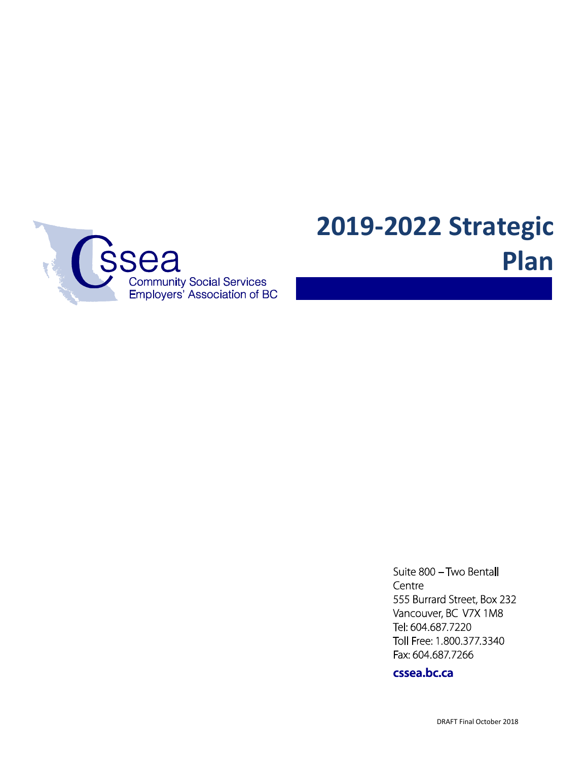

Suite 800 - Two Bentall Centre 555 Burrard Street, Box 232 Vancouver, BC V7X 1M8 Tel: 604.687.7220 Toll Free: 1.800.377.3340 Fax: 604.687.7266

cssea.bc.ca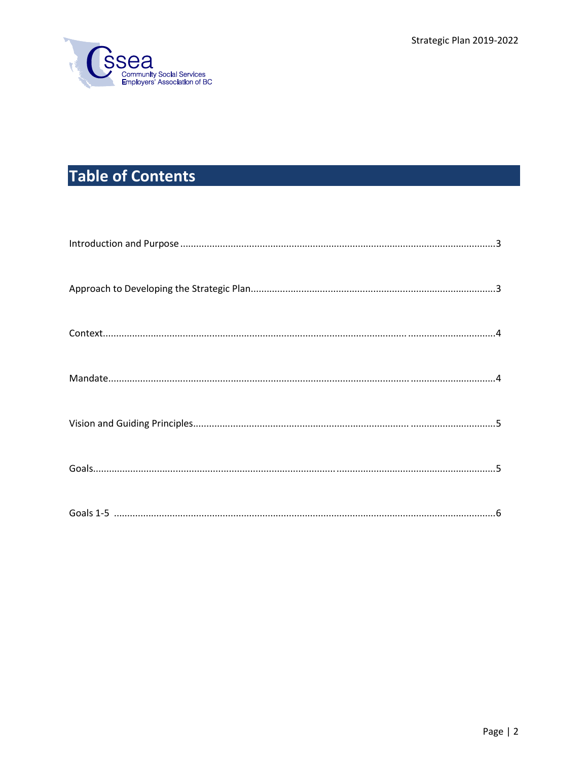

# **Table of Contents**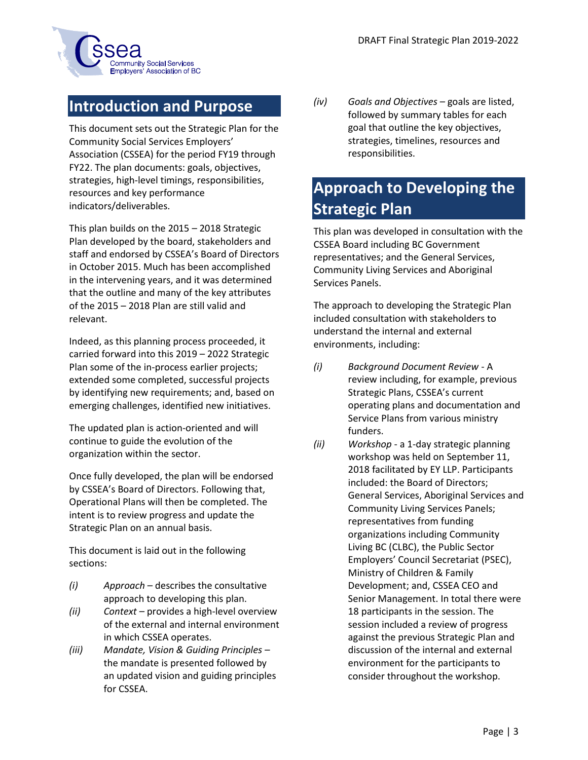

### **Introduction and Purpose**

This document sets out the Strategic Plan for the Community Social Services Employers' Association (CSSEA) for the period FY19 through FY22. The plan documents: goals, objectives, strategies, high-level timings, responsibilities, resources and key performance indicators/deliverables.

This plan builds on the 2015 – 2018 Strategic Plan developed by the board, stakeholders and staff and endorsed by CSSEA's Board of Directors in October 2015. Much has been accomplished in the intervening years, and it was determined that the outline and many of the key attributes of the 2015 – 2018 Plan are still valid and relevant.

Indeed, as this planning process proceeded, it carried forward into this 2019 – 2022 Strategic Plan some of the in-process earlier projects; extended some completed, successful projects by identifying new requirements; and, based on emerging challenges, identified new initiatives.

The updated plan is action-oriented and will continue to guide the evolution of the organization within the sector.

Once fully developed, the plan will be endorsed by CSSEA's Board of Directors. Following that, Operational Plans will then be completed. The intent is to review progress and update the Strategic Plan on an annual basis.

This document is laid out in the following sections:

- *(i) Approach –* describes the consultative approach to developing this plan.
- *(ii) Context –* provides a high-level overview of the external and internal environment in which CSSEA operates.
- *(iii) Mandate, Vision & Guiding Principles –* the mandate is presented followed by an updated vision and guiding principles for CSSEA.

*(iv) Goals and Objectives –* goals are listed, followed by summary tables for each goal that outline the key objectives, strategies, timelines, resources and responsibilities.

## **Approach to Developing the Strategic Plan**

This plan was developed in consultation with the CSSEA Board including BC Government representatives; and the General Services, Community Living Services and Aboriginal Services Panels.

The approach to developing the Strategic Plan included consultation with stakeholders to understand the internal and external environments, including:

- *(i) Background Document Review* A review including, for example, previous Strategic Plans, CSSEA's current operating plans and documentation and Service Plans from various ministry funders.
- *(ii) Workshop* a 1-day strategic planning workshop was held on September 11, 2018 facilitated by EY LLP. Participants included: the Board of Directors; General Services, Aboriginal Services and Community Living Services Panels; representatives from funding organizations including Community Living BC (CLBC), the Public Sector Employers' Council Secretariat (PSEC), Ministry of Children & Family Development; and, CSSEA CEO and Senior Management. In total there were 18 participants in the session. The session included a review of progress against the previous Strategic Plan and discussion of the internal and external environment for the participants to consider throughout the workshop.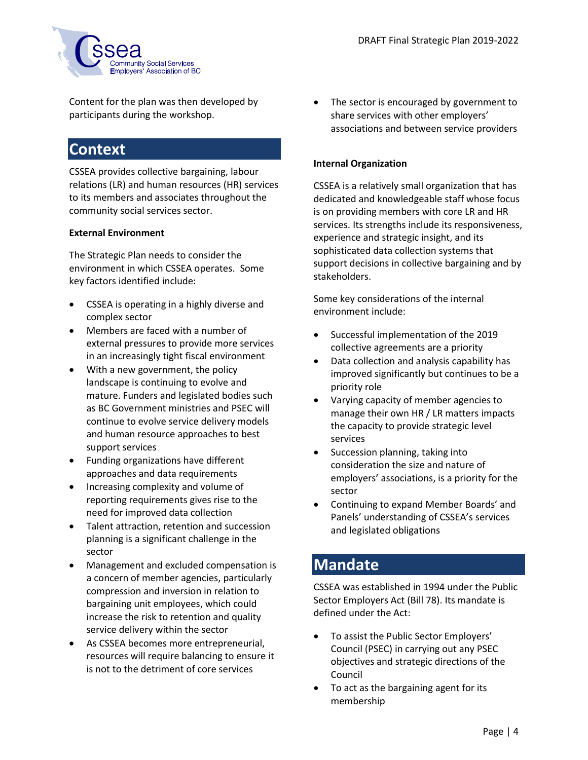

Content for the plan was then developed by participants during the workshop.

### **Context**

CSSEA provides collective bargaining, labour relations (LR) and human resources (HR) services to its members and associates throughout the community social services sector.

#### **External Environment**

The Strategic Plan needs to consider the environment in which CSSEA operates. Some key factors identified include:

- CSSEA is operating in a highly diverse and complex sector
- Members are faced with a number of external pressures to provide more services in an increasingly tight fiscal environment
- With a new government, the policy landscape is continuing to evolve and mature. Funders and legislated bodies such as BC Government ministries and PSEC will continue to evolve service delivery models and human resource approaches to best support services
- Funding organizations have different approaches and data requirements
- Increasing complexity and volume of reporting requirements gives rise to the need for improved data collection
- Talent attraction, retention and succession planning is a significant challenge in the sector
- Management and excluded compensation is a concern of member agencies, particularly compression and inversion in relation to bargaining unit employees, which could increase the risk to retention and quality service delivery within the sector
- As CSSEA becomes more entrepreneurial, resources will require balancing to ensure it is not to the detriment of core services

 The sector is encouraged by government to share services with other employers' associations and between service providers

### **Internal Organization**

CSSEA is a relatively small organization that has dedicated and knowledgeable staff whose focus is on providing members with core LR and HR services. Its strengths include its responsiveness, experience and strategic insight, and its sophisticated data collection systems that support decisions in collective bargaining and by stakeholders.

Some key considerations of the internal environment include:

- Successful implementation of the 2019 collective agreements are a priority
- Data collection and analysis capability has improved significantly but continues to be a priority role
- Varying capacity of member agencies to manage their own HR / LR matters impacts the capacity to provide strategic level services
- Succession planning, taking into consideration the size and nature of employers' associations, is a priority for the sector
- Continuing to expand Member Boards' and Panels' understanding of CSSEA's services and legislated obligations

### **Mandate**

CSSEA was established in 1994 under the Public Sector Employers Act (Bill 78). Its mandate is defined under the Act:

- To assist the Public Sector Employers' Council (PSEC) in carrying out any PSEC objectives and strategic directions of the Council
- To act as the bargaining agent for its membership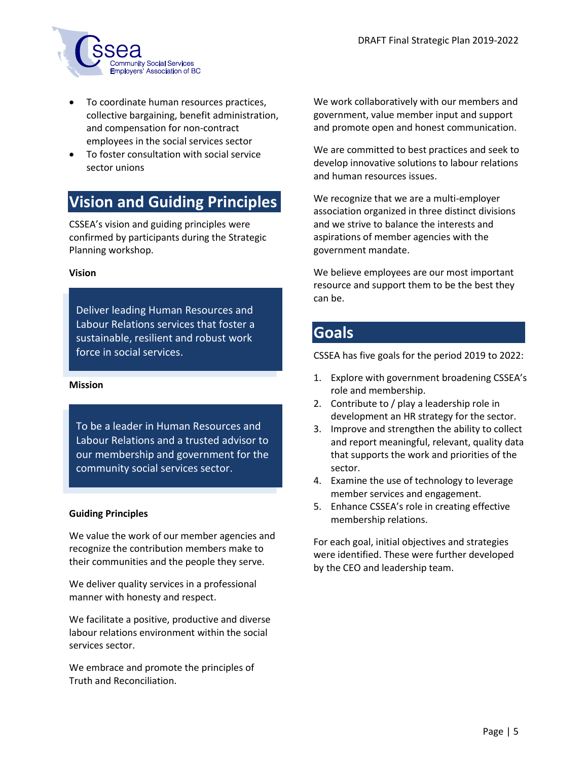

- To coordinate human resources practices, collective bargaining, benefit administration, and compensation for non-contract employees in the social services sector
- To foster consultation with social service sector unions

### **Vision and Guiding Principles**

CSSEA's vision and guiding principles were confirmed by participants during the Strategic Planning workshop.

#### **Vision**

Deliver leading Human Resources and Labour Relations services that foster a sustainable, resilient and robust work force in social services.

#### **Mission**

To be a leader in Human Resources and Labour Relations and a trusted advisor to our membership and government for the community social services sector.

#### **Guiding Principles**

We value the work of our member agencies and recognize the contribution members make to their communities and the people they serve.

We deliver quality services in a professional manner with honesty and respect.

We facilitate a positive, productive and diverse labour relations environment within the social services sector.

We embrace and promote the principles of Truth and Reconciliation.

We work collaboratively with our members and government, value member input and support and promote open and honest communication.

We are committed to best practices and seek to develop innovative solutions to labour relations and human resources issues.

We recognize that we are a multi-employer association organized in three distinct divisions and we strive to balance the interests and aspirations of member agencies with the government mandate.

We believe employees are our most important resource and support them to be the best they can be.

### **Goals**

CSSEA has five goals for the period 2019 to 2022:

- 1. Explore with government broadening CSSEA's role and membership.
- 2. Contribute to / play a leadership role in development an HR strategy for the sector.
- 3. Improve and strengthen the ability to collect and report meaningful, relevant, quality data that supports the work and priorities of the sector.
- 4. Examine the use of technology to leverage member services and engagement.
- 5. Enhance CSSEA's role in creating effective membership relations.

For each goal, initial objectives and strategies were identified. These were further developed by the CEO and leadership team.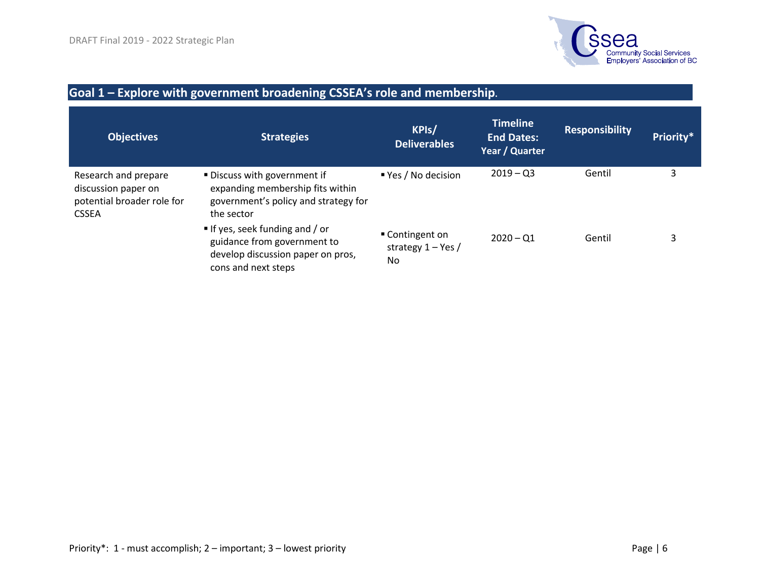

#### **Goal 1 – Explore with government broadening CSSEA's role and membership. Objectives Strategies KPIs/ Deliverables Timeline End Dates: Year / Quarter Responsibility Priority\*** Research and prepare discussion paper on potential broader role for CSSEA **Discuss with government if** expanding membership fits within government's policy and strategy for the sector If yes, seek funding and / or guidance from government to develop discussion paper on pros, cons and next steps ■ Yes / No decision Contingent on strategy 1 – Yes / No  $2019 - Q3$  $2020 - Q1$ Gentil Gentil 3 3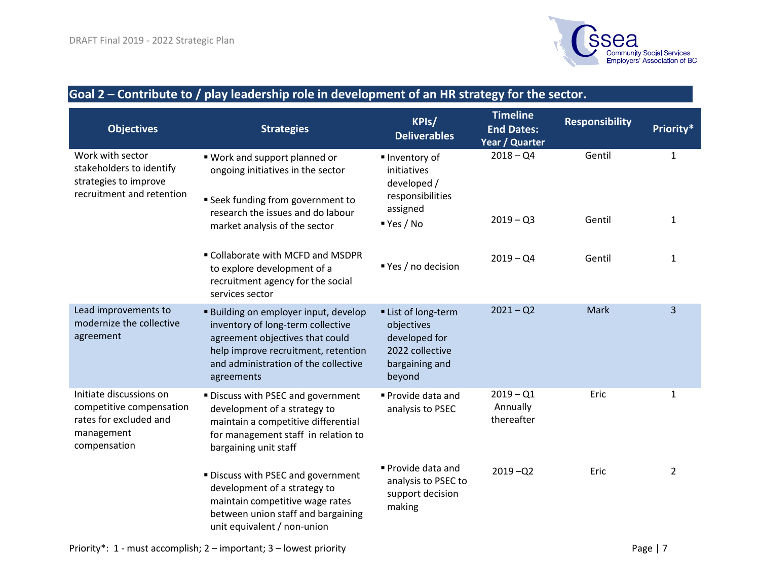

### **Goal 2 – Contribute to / play leadership role in development of an HR strategy for the sector.**

| <b>Objectives</b>                                                                                           | <b>Strategies</b>                                                                                                                                                                                               | KPIs/<br><b>Deliverables</b>                                                                    | <b>Timeline</b><br><b>End Dates:</b><br>Year / Quarter | <b>Responsibility</b> | Priority*      |
|-------------------------------------------------------------------------------------------------------------|-----------------------------------------------------------------------------------------------------------------------------------------------------------------------------------------------------------------|-------------------------------------------------------------------------------------------------|--------------------------------------------------------|-----------------------|----------------|
| Work with sector<br>stakeholders to identify<br>strategies to improve<br>recruitment and retention          | " Work and support planned or<br>ongoing initiatives in the sector<br><b>Seek funding from government to</b>                                                                                                    | Inventory of<br>initiatives<br>developed /<br>responsibilities                                  | $2018 - Q4$                                            | Gentil                | $\mathbf{1}$   |
|                                                                                                             | research the issues and do labour<br>market analysis of the sector                                                                                                                                              | assigned<br>Yes/No                                                                              | $2019 - Q3$                                            | Gentil                | $\mathbf{1}$   |
|                                                                                                             | " Collaborate with MCFD and MSDPR<br>to explore development of a<br>recruitment agency for the social<br>services sector                                                                                        | ■ Yes / no decision                                                                             | $2019 - Q4$                                            | Gentil                | $\mathbf{1}$   |
| Lead improvements to<br>modernize the collective<br>agreement                                               | <b>Building on employer input, develop</b><br>inventory of long-term collective<br>agreement objectives that could<br>help improve recruitment, retention<br>and administration of the collective<br>agreements | List of long-term<br>objectives<br>developed for<br>2022 collective<br>bargaining and<br>beyond | $2021 - Q2$                                            | Mark                  | $\overline{3}$ |
| Initiate discussions on<br>competitive compensation<br>rates for excluded and<br>management<br>compensation | " Discuss with PSEC and government<br>development of a strategy to<br>maintain a competitive differential<br>for management staff in relation to<br>bargaining unit staff                                       | Provide data and<br>analysis to PSEC                                                            | $2019 - Q1$<br>Annually<br>thereafter                  | Eric                  | $\mathbf{1}$   |
|                                                                                                             | " Discuss with PSEC and government<br>development of a strategy to<br>maintain competitive wage rates<br>between union staff and bargaining<br>unit equivalent / non-union                                      | ■ Provide data and<br>analysis to PSEC to<br>support decision<br>making                         | $2019 - Q2$                                            | Eric                  | $\overline{2}$ |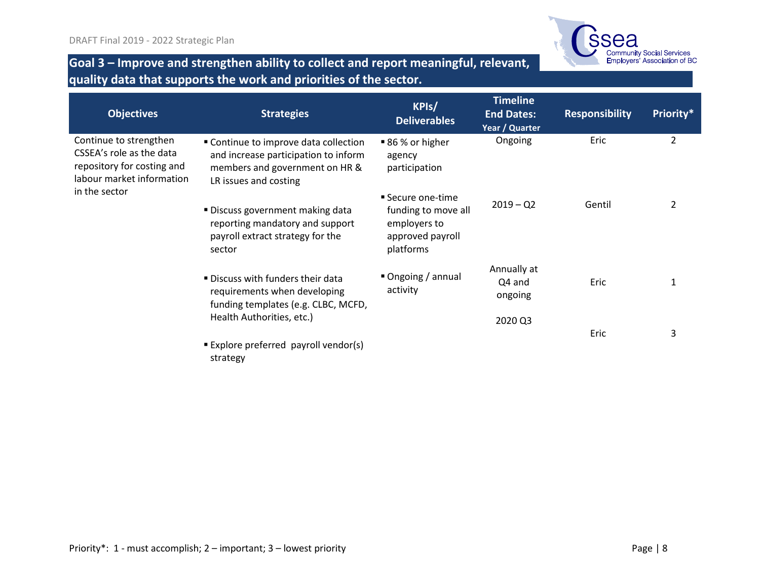

### **Goal 3 – Improve and strengthen ability to collect and report meaningful, relevant, quality data that supports the work and priorities of the sector.**

| <b>Objectives</b>                                                                                                              | <b>Strategies</b>                                                                                                                        | KPIs/<br><b>Deliverables</b>                                                              | <b>Timeline</b><br><b>End Dates:</b><br>Year / Quarter | <b>Responsibility</b> | Priority*      |
|--------------------------------------------------------------------------------------------------------------------------------|------------------------------------------------------------------------------------------------------------------------------------------|-------------------------------------------------------------------------------------------|--------------------------------------------------------|-----------------------|----------------|
| Continue to strengthen<br>CSSEA's role as the data<br>repository for costing and<br>labour market information<br>in the sector | " Continue to improve data collection<br>and increase participation to inform<br>members and government on HR &<br>LR issues and costing | ■ 86 % or higher<br>agency<br>participation                                               | Ongoing                                                | Eric                  | $\overline{2}$ |
|                                                                                                                                | ■ Discuss government making data<br>reporting mandatory and support<br>payroll extract strategy for the<br>sector                        | ■ Secure one-time<br>funding to move all<br>employers to<br>approved payroll<br>platforms | $2019 - Q2$                                            | Gentil                | 2              |
|                                                                                                                                | ■ Discuss with funders their data<br>requirements when developing<br>funding templates (e.g. CLBC, MCFD,                                 | Ongoing / annual<br>activity                                                              | Annually at<br>Q4 and<br>ongoing                       | Eric                  |                |
|                                                                                                                                | Health Authorities, etc.)<br>■ Explore preferred payroll vendor(s)                                                                       |                                                                                           | 2020 Q3                                                | Eric                  | 3              |

strategy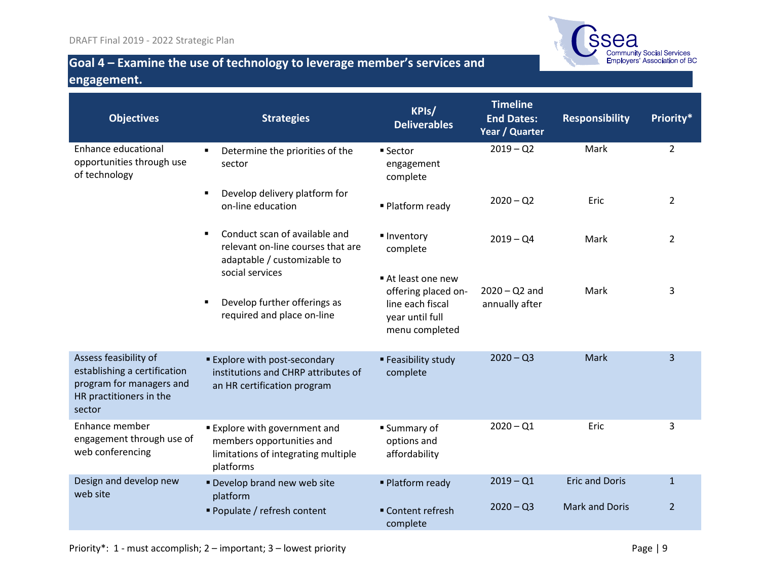

### **Goal 4 – Examine the use of technology to leverage member's services and engagement.**

| <b>Objectives</b>                                                                                                      | <b>Strategies</b>                                                                                                   | KPIs/<br><b>Deliverables</b>                                                                     | <b>Timeline</b><br><b>End Dates:</b><br>Year / Quarter | <b>Responsibility</b> | Priority*      |
|------------------------------------------------------------------------------------------------------------------------|---------------------------------------------------------------------------------------------------------------------|--------------------------------------------------------------------------------------------------|--------------------------------------------------------|-----------------------|----------------|
| Enhance educational<br>opportunities through use<br>of technology                                                      | Determine the priorities of the<br>٠<br>sector                                                                      | ■ Sector<br>engagement<br>complete                                                               | $2019 - Q2$                                            | Mark                  | $\overline{2}$ |
|                                                                                                                        | Develop delivery platform for<br>$\blacksquare$<br>on-line education                                                | ■ Platform ready                                                                                 | $2020 - Q2$                                            | Eric                  | 2              |
|                                                                                                                        | Conduct scan of available and<br>٠<br>relevant on-line courses that are<br>adaptable / customizable to              | ■ Inventory<br>complete                                                                          | $2019 - Q4$                                            | Mark                  | $\overline{2}$ |
|                                                                                                                        | social services<br>Develop further offerings as<br>٠<br>required and place on-line                                  | At least one new<br>offering placed on-<br>line each fiscal<br>year until full<br>menu completed | $2020 - Q2$ and<br>annually after                      | Mark                  | 3              |
| Assess feasibility of<br>establishing a certification<br>program for managers and<br>HR practitioners in the<br>sector | <b>Explore with post-secondary</b><br>institutions and CHRP attributes of<br>an HR certification program            | ■ Feasibility study<br>complete                                                                  | $2020 - Q3$                                            | Mark                  | 3              |
| Enhance member<br>engagement through use of<br>web conferencing                                                        | <b>Explore with government and</b><br>members opportunities and<br>limitations of integrating multiple<br>platforms | ■ Summary of<br>options and<br>affordability                                                     | $2020 - Q1$                                            | Eric                  | 3              |
| Design and develop new<br>web site                                                                                     | Develop brand new web site<br>platform                                                                              | ■ Platform ready                                                                                 | $2019 - Q1$                                            | <b>Eric and Doris</b> | $\mathbf{1}$   |
|                                                                                                                        | Populate / refresh content                                                                                          | ■ Content refresh<br>complete                                                                    | $2020 - Q3$                                            | <b>Mark and Doris</b> | $\overline{2}$ |